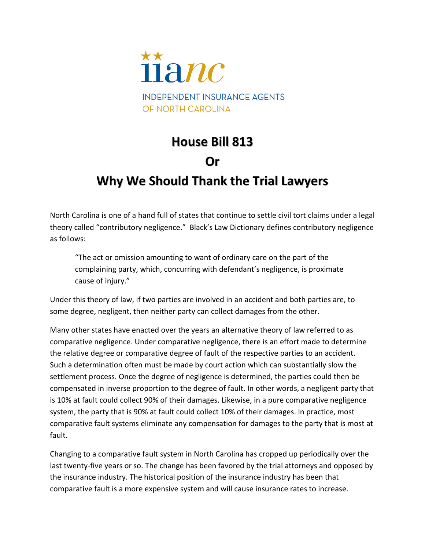

## **House Bill 813**

## **Or**

## **Why We Should Thank the Trial Lawyers**

North Carolina is one of a hand full of states that continue to settle civil tort claims under a legal theory called "contributory negligence." Black's Law Dictionary defines contributory negligence as follows:

"The act or omission amounting to want of ordinary care on the part of the complaining party, which, concurring with defendant's negligence, is proximate cause of injury."

Under this theory of law, if two parties are involved in an accident and both parties are, to some degree, negligent, then neither party can collect damages from the other.

Many other states have enacted over the years an alternative theory of law referred to as comparative negligence. Under comparative negligence, there is an effort made to determine the relative degree or comparative degree of fault of the respective parties to an accident. Such a determination often must be made by court action which can substantially slow the settlement process. Once the degree of negligence is determined, the parties could then be compensated in inverse proportion to the degree of fault. In other words, a negligent party that is 10% at fault could collect 90% of their damages. Likewise, in a pure comparative negligence system, the party that is 90% at fault could collect 10% of their damages. In practice, most comparative fault systems eliminate any compensation for damages to the party that is most at fault.

Changing to a comparative fault system in North Carolina has cropped up periodically over the last twenty-five years or so. The change has been favored by the trial attorneys and opposed by the insurance industry. The historical position of the insurance industry has been that comparative fault is a more expensive system and will cause insurance rates to increase.